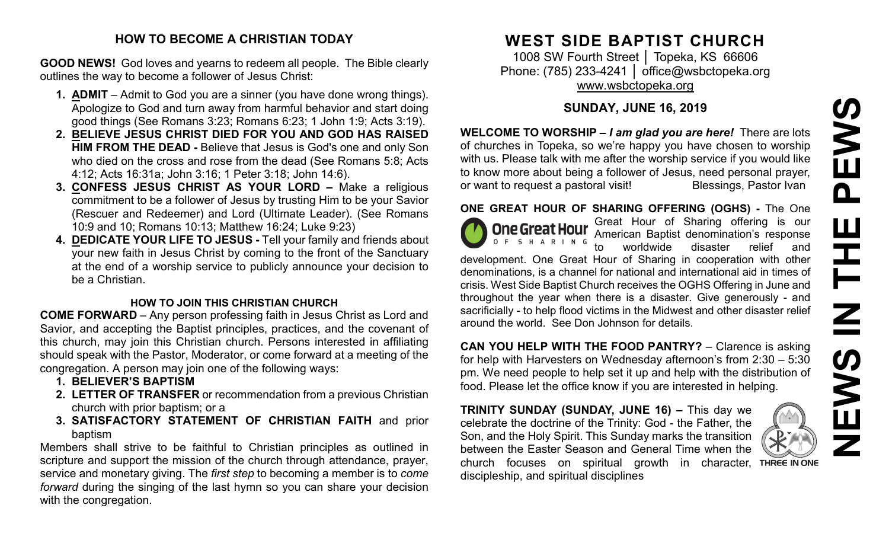# **NEWS IN THE PEWS**PEWS Ш **HH NH** EWS

### **HOW TO BECOME A CHRISTIAN TODAY**

**GOOD NEWS!** God loves and yearns to redeem all people. The Bible clearly outlines the way to become a follower of Jesus Christ:

- **1. ADMIT** Admit to God you are a sinner (you have done wrong things). Apologize to God and turn away from harmful behavior and start doing good things (See Romans 3:23; Romans 6:23; 1 John 1:9; Acts 3:19).
- **2. BELIEVE JESUS CHRIST DIED FOR YOU AND GOD HAS RAISED HIM FROM THE DEAD -** Believe that Jesus is God's one and only Son who died on the cross and rose from the dead (See Romans 5:8; Acts 4:12; Acts 16:31a; John 3:16; 1 Peter 3:18; John 14:6).
- **3. CONFESS JESUS CHRIST AS YOUR LORD –** Make a religious commitment to be a follower of Jesus by trusting Him to be your Savior (Rescuer and Redeemer) and Lord (Ultimate Leader). (See Romans 10:9 and 10; Romans 10:13; Matthew 16:24; Luke 9:23)
- **4. DEDICATE YOUR LIFE TO JESUS -** Tell your family and friends about your new faith in Jesus Christ by coming to the front of the Sanctuary at the end of a worship service to publicly announce your decision to be a Christian.

## **HOW TO JOIN THIS CHRISTIAN CHURCH**

**COME FORWARD** – Any person professing faith in Jesus Christ as Lord and Savior, and accepting the Baptist principles, practices, and the covenant of this church, may join this Christian church. Persons interested in affiliating should speak with the Pastor, Moderator, or come forward at a meeting of the congregation. A person may join one of the following ways:

- **1. BELIEVER'S BAPTISM**
- **2. LETTER OF TRANSFER** or recommendation from a previous Christian church with prior baptism; or a
- **3. SATISFACTORY STATEMENT OF CHRISTIAN FAITH** and prior baptism

Members shall strive to be faithful to Christian principles as outlined in scripture and support the mission of the church through attendance, prayer, service and monetary giving. The *first step* to becoming a member is to *come forward* during the singing of the last hymn so you can share your decision with the congregation.

# **WEST SIDE BAPTIST CHURCH**

1008 SW Fourth Street | Topeka, KS 66606 Phone: (785) 233-4241 │ [office@wsbctopeka.org](mailto:office@wsbctopeka.org) [www.wsbctopeka.org](http://www.wsbctopeka.org/)

# **SUNDAY, JUNE 16, 2019**

**WELCOME TO WORSHIP –** *I am glad you are here!* There are lots of churches in Topeka, so we're happy you have chosen to worship with us. Please talk with me after the worship service if you would like to know more about being a follower of Jesus, need personal prayer,<br>or want to request a pastoral visit!<br>Blessings, Pastor Ivan or want to request a pastoral visit!

# **ONE GREAT HOUR OF SHARING OFFERING (OGHS) -** The One



**One Great Hour** Great Hour of Sharing offering is our American Baptist denomination's response to worldwide disaster relief and

development. One Great Hour of Sharing in cooperation with other denominations, is a channel for national and international aid in times of crisis. West Side Baptist Church receives the OGHS Offering in June and throughout the year when there is a disaster. Give generously - and sacrificially - to help flood victims in the Midwest and other disaster relief around the world. See Don Johnson for details.

**CAN YOU HELP WITH THE FOOD PANTRY?** – Clarence is asking for help with Harvesters on Wednesday afternoon's from 2:30 – 5:30 pm. We need people to help set it up and help with the distribution of food. Please let the office know if you are interested in helping.

**TRINITY SUNDAY (SUNDAY, JUNE 16) –** This day we celebrate the doctrine of the Trinity: God - the Father, the Son, and the Holy Spirit. This Sunday marks the transition between the Easter Season and General Time when the church focuses on spiritual growth in character, discipleship, and spiritual disciplines

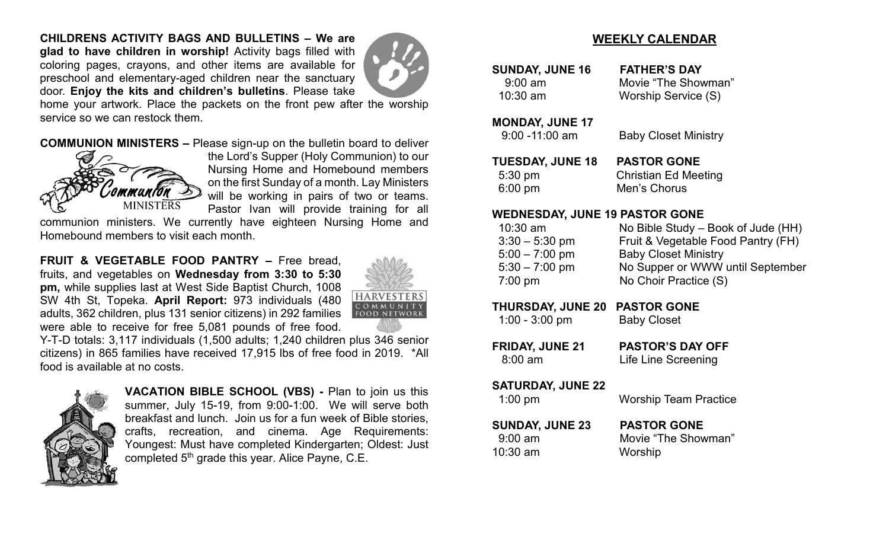**CHILDRENS ACTIVITY BAGS AND BULLETINS – We are glad to have children in worship!** Activity bags filled with coloring pages, crayons, and other items are available for preschool and elementary-aged children near the sanctuary door. **Enjoy the kits and children's bulletins**. Please take



home your artwork. Place the packets on the front pew after the worship service so we can restock them.

**COMMUNION MINISTERS –** Please sign-up on the bulletin board to deliver



the Lord's Supper (Holy Communion) to our Nursing Home and Homebound members on the first Sunday of a month. Lay Ministers will be working in pairs of two or teams. Pastor Ivan will provide training for all

communion ministers. We currently have eighteen Nursing Home and Homebound members to visit each month.

**FRUIT & VEGETABLE FOOD PANTRY –** Free bread, fruits, and vegetables on **Wednesday from 3:30 to 5:30 pm,** while supplies last at West Side Baptist Church, 1008 SW 4th St, Topeka. **April Report:** 973 individuals (480 adults, 362 children, plus 131 senior citizens) in 292 families were able to receive for free 5,081 pounds of free food.



Y-T-D totals: 3,117 individuals (1,500 adults; 1,240 children plus 346 senior citizens) in 865 families have received 17,915 lbs of free food in 2019. \*All food is available at no costs.



**VACATION BIBLE SCHOOL (VBS) -** Plan to join us this summer, July 15-19, from 9:00-1:00. We will serve both breakfast and lunch. Join us for a fun week of Bible stories, crafts, recreation, and cinema. Age Requirements: Youngest: Must have completed Kindergarten; Oldest: Just completed 5<sup>th</sup> grade this year. Alice Payne, C.E.

# **WEEKLY CALENDAR**

**SUNDAY, JUNE 16 FATHER'S DAY**

 9:00 am Movie "The Showman" 10:30 am Worship Service (S)

**MONDAY, JUNE 17**

9:00 -11:00 am Baby Closet Ministry

**TUESDAY, JUNE 18 PASTOR GONE** 5:30 pm Christian Ed Meeting 6:00 pm Men's Chorus

### **WEDNESDAY, JUNE 19 PASTOR GONE**

| $10:30$ am        | No Bible Study – Book of Jude (HH) |
|-------------------|------------------------------------|
| $3:30 - 5:30$ pm  | Fruit & Vegetable Food Pantry (FH) |
| $5:00 - 7:00$ pm  | <b>Baby Closet Ministry</b>        |
| $5:30 - 7:00$ pm  | No Supper or WWW until September   |
| $7:00 \text{ pm}$ | No Choir Practice (S)              |

### **THURSDAY, JUNE 20 PASTOR GONE**

| $1:00 - 3:00$ pm | <b>Baby Closet</b> |
|------------------|--------------------|
|------------------|--------------------|

**FRIDAY, JUNE 21 PASTOR'S DAY OFF** 8:00 am Life Line Screening

### **SATURDAY, JUNE 22**

| $1:00$ pm                                   | <b>Worship Team Practice</b>              |
|---------------------------------------------|-------------------------------------------|
| <b>SUNDAY, JUNE 23</b><br>$9:00 \text{ am}$ | <b>PASTOR GONE</b><br>Movie "The Showman" |
| $10:30$ am                                  | Worship                                   |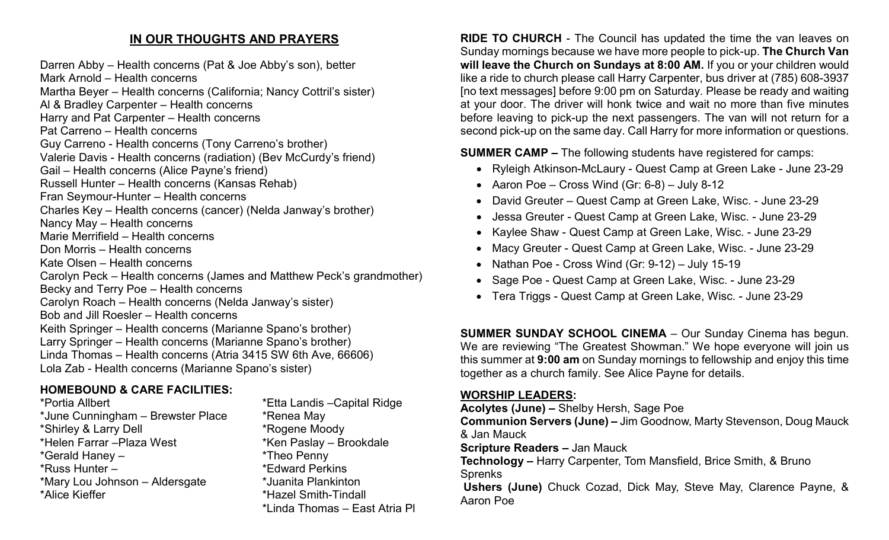# **IN OUR THOUGHTS AND PRAYERS**

Darren Abby – Health concerns (Pat & Joe Abby's son), better Mark Arnold – Health concerns Martha Beyer – Health concerns (California; Nancy Cottril's sister) Al & Bradley Carpenter – Health concerns Harry and Pat Carpenter – Health concerns Pat Carreno – Health concerns Guy Carreno - Health concerns (Tony Carreno's brother) Valerie Davis - Health concerns (radiation) (Bev McCurdy's friend) Gail – Health concerns (Alice Payne's friend) Russell Hunter – Health concerns (Kansas Rehab) Fran Seymour-Hunter – Health concerns Charles Key – Health concerns (cancer) (Nelda Janway's brother) Nancy May – Health concerns Marie Merrifield – Health concerns Don Morris – Health concerns Kate Olsen – Health concerns Carolyn Peck – Health concerns (James and Matthew Peck's grandmother) Becky and Terry Poe – Health concerns Carolyn Roach – Health concerns (Nelda Janway's sister) Bob and Jill Roesler – Health concerns Keith Springer – Health concerns (Marianne Spano's brother) Larry Springer – Health concerns (Marianne Spano's brother) Linda Thomas – Health concerns (Atria 3415 SW 6th Ave, 66606) Lola Zab - Health concerns (Marianne Spano's sister)

# **HOMEBOUND & CARE FACILITIES:**

\*Portia Allbert \*Etta Landis –Capital Ridge \*June Cunningham – Brewster Place \* \* Renea May \*Shirley & Larry Dell \*Rogene Moody \*Helen Farrar –Plaza West \*Ken Paslay – Brookdale \*Gerald Haney – \*Theo Penny \*Russ Hunter – \* \*Edward Perkins \*Mary Lou Johnson – Aldersgate \*Juanita Plankinton \*Alice Kieffer \*Hazel Smith-Tindall

\*Linda Thomas – East Atria Pl

**RIDE TO CHURCH** - The Council has updated the time the van leaves on Sunday mornings because we have more people to pick-up. **The Church Van will leave the Church on Sundays at 8:00 AM.** If you or your children would like a ride to church please call Harry Carpenter, bus driver at (785) 608-3937 [no text messages] before 9:00 pm on Saturday. Please be ready and waiting at your door. The driver will honk twice and wait no more than five minutes before leaving to pick-up the next passengers. The van will not return for a second pick-up on the same day. Call Harry for more information or questions.

**SUMMER CAMP –** The following students have registered for camps:

- Ryleigh Atkinson-McLaury Quest Camp at Green Lake June 23-29
- Aaron Poe Cross Wind (Gr:  $6-8$ ) July 8-12
- David Greuter Quest Camp at Green Lake, Wisc. June 23-29
- Jessa Greuter Quest Camp at Green Lake, Wisc. June 23-29
- Kaylee Shaw Quest Camp at Green Lake, Wisc. June 23-29
- Macy Greuter Quest Camp at Green Lake, Wisc. June 23-29
- Nathan Poe Cross Wind (Gr: 9-12) July 15-19
- Sage Poe Quest Camp at Green Lake, Wisc. June 23-29
- Tera Triggs Quest Camp at Green Lake, Wisc. June 23-29

**SUMMER SUNDAY SCHOOL CINEMA** – Our Sunday Cinema has begun. We are reviewing "The Greatest Showman." We hope everyone will join us this summer at **9:00 am** on Sunday mornings to fellowship and enjoy this time together as a church family. See Alice Payne for details.

### **WORSHIP LEADERS:**

**Acolytes (June) –** Shelby Hersh, Sage Poe

**Communion Servers (June) –** Jim Goodnow, Marty Stevenson, Doug Mauck & Jan Mauck

**Scripture Readers –** Jan Mauck

**Technology –** Harry Carpenter, Tom Mansfield, Brice Smith, & Bruno Sprenks

**Ushers (June)** Chuck Cozad, Dick May, Steve May, Clarence Payne, & Aaron Poe